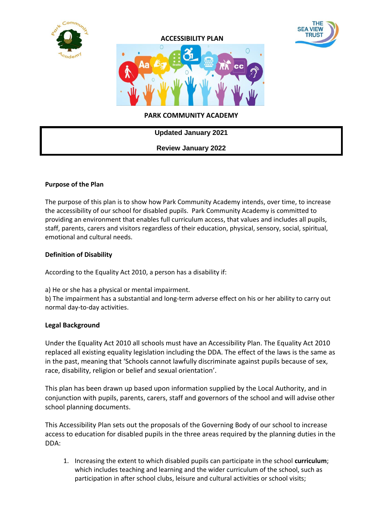





### **PARK COMMUNITY ACADEMY**

| <b>Updated January 2021</b> |  |
|-----------------------------|--|
| <b>Review January 2022</b>  |  |

#### **Purpose of the Plan**

The purpose of this plan is to show how Park Community Academy intends, over time, to increase the accessibility of our school for disabled pupils. Park Community Academy is committed to providing an environment that enables full curriculum access, that values and includes all pupils, staff, parents, carers and visitors regardless of their education, physical, sensory, social, spiritual, emotional and cultural needs.

#### **Definition of Disability**

According to the Equality Act 2010, a person has a disability if:

a) He or she has a physical or mental impairment.

b) The impairment has a substantial and long-term adverse effect on his or her ability to carry out normal day-to-day activities.

#### **Legal Background**

Under the Equality Act 2010 all schools must have an Accessibility Plan. The Equality Act 2010 replaced all existing equality legislation including the DDA. The effect of the laws is the same as in the past, meaning that 'Schools cannot lawfully discriminate against pupils because of sex, race, disability, religion or belief and sexual orientation'.

This plan has been drawn up based upon information supplied by the Local Authority, and in conjunction with pupils, parents, carers, staff and governors of the school and will advise other school planning documents.

This Accessibility Plan sets out the proposals of the Governing Body of our school to increase access to education for disabled pupils in the three areas required by the planning duties in the DDA:

1. Increasing the extent to which disabled pupils can participate in the school **curriculum**; which includes teaching and learning and the wider curriculum of the school, such as participation in after school clubs, leisure and cultural activities or school visits;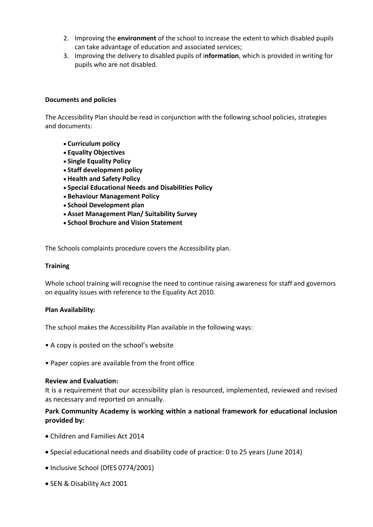- 2. Improving the **environment** of the school to increase the extent to which disabled pupils can take advantage of education and associated services;
- 3. Improving the delivery to disabled pupils of i**nformation**, which is provided in writing for pupils who are not disabled.

#### **Documents and policies**

The Accessibility Plan should be read in conjunction with the following school policies, strategies and documents:

- **Curriculum policy**
- **Equality Objectives**
- **Single Equality Policy**
- **Staff development policy**
- **Health and Safety Policy**
- **Special Educational Needs and Disabilities Policy**
- **Behaviour Management Policy**
- **School Development plan**
- **Asset Management Plan/ Suitability Survey**
- **School Brochure and Vision Statement**

The Schools complaints procedure covers the Accessibility plan.

#### **Training**

Whole school training will recognise the need to continue raising awareness for staff and governors on equality issues with reference to the Equality Act 2010.

#### **Plan Availability:**

The school makes the Accessibility Plan available in the following ways:

- A copy is posted on the school's website
- Paper copies are available from the front office

#### **Review and Evaluation:**

It is a requirement that our accessibility plan is resourced, implemented, reviewed and revised as necessary and reported on annually.

### **Park Community Academy is working within a national framework for educational inclusion provided by:**

- Children and Families Act 2014
- Special educational needs and disability code of practice: 0 to 25 years (June 2014)
- Inclusive School (DfES 0774/2001)
- SEN & Disability Act 2001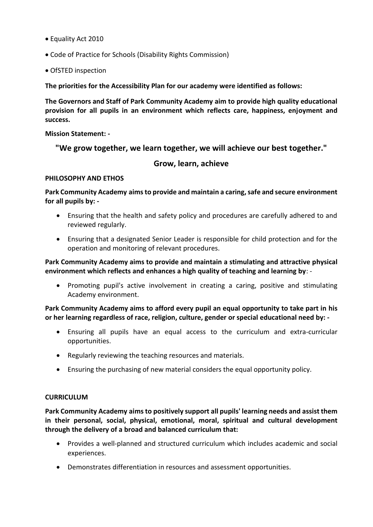- Equality Act 2010
- Code of Practice for Schools (Disability Rights Commission)
- OfSTED inspection

**The priorities for the Accessibility Plan for our academy were identified as follows:** 

**The Governors and Staff of Park Community Academy aim to provide high quality educational provision for all pupils in an environment which reflects care, happiness, enjoyment and success.**

**Mission Statement: -**

**"We grow together, we learn together, we will achieve our best together."**

# **Grow, learn, achieve**

#### **PHILOSOPHY AND ETHOS**

**Park Community Academy aims to provide and maintain a caring, safe and secure environment for all pupils by: -**

- Ensuring that the health and safety policy and procedures are carefully adhered to and reviewed regularly.
- Ensuring that a designated Senior Leader is responsible for child protection and for the operation and monitoring of relevant procedures.

**Park Community Academy aims to provide and maintain a stimulating and attractive physical environment which reflects and enhances a high quality of teaching and learning by**: -

 Promoting pupil's active involvement in creating a caring, positive and stimulating Academy environment.

**Park Community Academy aims to afford every pupil an equal opportunity to take part in his or her learning regardless of race, religion, culture, gender or special educational need by: -**

- Ensuring all pupils have an equal access to the curriculum and extra-curricular opportunities.
- Regularly reviewing the teaching resources and materials.
- Ensuring the purchasing of new material considers the equal opportunity policy.

#### **CURRICULUM**

**Park Community Academy aims to positively support all pupils' learning needs and assist them in their personal, social, physical, emotional, moral, spiritual and cultural development through the delivery of a broad and balanced curriculum that:**

- Provides a well-planned and structured curriculum which includes academic and social experiences.
- Demonstrates differentiation in resources and assessment opportunities.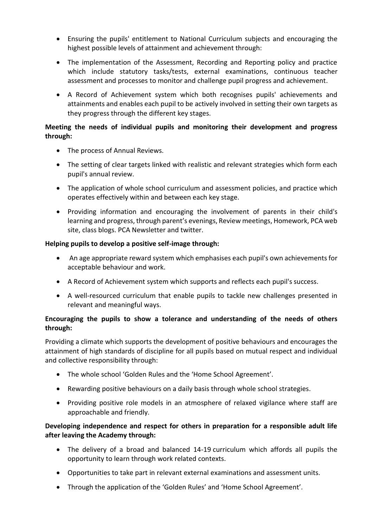- Ensuring the pupils' entitlement to National Curriculum subjects and encouraging the highest possible levels of attainment and achievement through:
- The implementation of the Assessment, Recording and Reporting policy and practice which include statutory tasks/tests, external examinations, continuous teacher assessment and processes to monitor and challenge pupil progress and achievement.
- A Record of Achievement system which both recognises pupils' achievements and attainments and enables each pupil to be actively involved in setting their own targets as they progress through the different key stages.

## **Meeting the needs of individual pupils and monitoring their development and progress through:**

- The process of Annual Reviews.
- The setting of clear targets linked with realistic and relevant strategies which form each pupil's annual review.
- The application of whole school curriculum and assessment policies, and practice which operates effectively within and between each key stage.
- Providing information and encouraging the involvement of parents in their child's learning and progress, through parent's evenings, Review meetings, Homework, PCA web site, class blogs. PCA Newsletter and twitter.

## **Helping pupils to develop a positive self-image through:**

- An age appropriate reward system which emphasises each pupil's own achievements for acceptable behaviour and work.
- A Record of Achievement system which supports and reflects each pupil's success.
- A well-resourced curriculum that enable pupils to tackle new challenges presented in relevant and meaningful ways.

# **Encouraging the pupils to show a tolerance and understanding of the needs of others through:**

Providing a climate which supports the development of positive behaviours and encourages the attainment of high standards of discipline for all pupils based on mutual respect and individual and collective responsibility through:

- The whole school 'Golden Rules and the 'Home School Agreement'.
- Rewarding positive behaviours on a daily basis through whole school strategies.
- Providing positive role models in an atmosphere of relaxed vigilance where staff are approachable and friendly.

# **Developing independence and respect for others in preparation for a responsible adult life after leaving the Academy through:**

- The delivery of a broad and balanced 14-19 curriculum which affords all pupils the opportunity to learn through work related contexts.
- Opportunities to take part in relevant external examinations and assessment units.
- Through the application of the 'Golden Rules' and 'Home School Agreement'.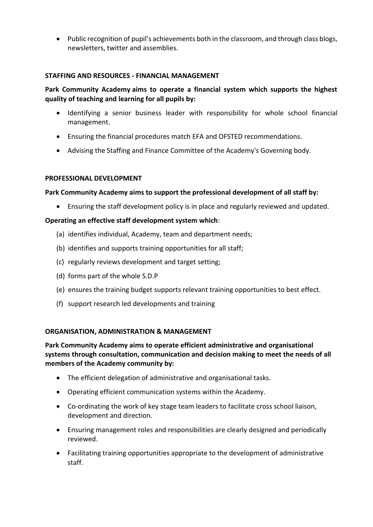Public recognition of pupil's achievements both in the classroom, and through class blogs, newsletters, twitter and assemblies.

### **STAFFING AND RESOURCES - FINANCIAL MANAGEMENT**

# **Park Community Academy aims to operate a financial system which supports the highest quality of teaching and learning for all pupils by:**

- Identifying a senior business leader with responsibility for whole school financial management.
- Ensuring the financial procedures match EFA and OFSTED recommendations.
- Advising the Staffing and Finance Committee of the Academy's Governing body.

### **PROFESSIONAL DEVELOPMENT**

### **Park Community Academy aims to support the professional development of all staff by:**

Ensuring the staff development policy is in place and regularly reviewed and updated.

### **Operating an effective staff development system which**:

- (a) identifies individual, Academy, team and department needs;
- (b) identifies and supports training opportunities for all staff;
- (c) regularly reviews development and target setting;
- (d) forms part of the whole S.D.P
- (e) ensures the training budget supports relevant training opportunities to best effect.
- (f) support research led developments and training

#### **ORGANISATION, ADMINISTRATION & MANAGEMENT**

**Park Community Academy aims to operate efficient administrative and organisational systems through consultation, communication and decision making to meet the needs of all members of the Academy community by:**

- The efficient delegation of administrative and organisational tasks.
- Operating efficient communication systems within the Academy.
- Co-ordinating the work of key stage team leaders to facilitate cross school liaison, development and direction.
- Ensuring management roles and responsibilities are clearly designed and periodically reviewed.
- Facilitating training opportunities appropriate to the development of administrative staff.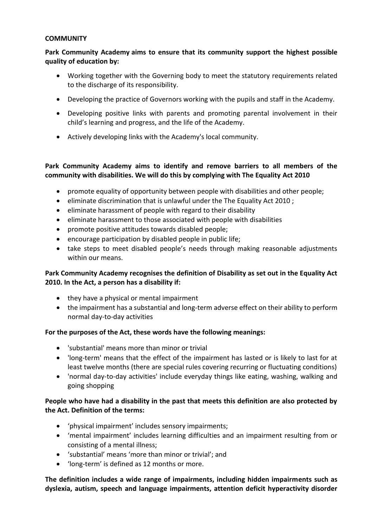### **COMMUNITY**

## **Park Community Academy aims to ensure that its community support the highest possible quality of education by:**

- Working together with the Governing body to meet the statutory requirements related to the discharge of its responsibility.
- Developing the practice of Governors working with the pupils and staff in the Academy.
- Developing positive links with parents and promoting parental involvement in their child's learning and progress, and the life of the Academy.
- Actively developing links with the Academy's local community.

# **Park Community Academy aims to identify and remove barriers to all members of the community with disabilities. We will do this by complying with The Equality Act 2010**

- promote equality of opportunity between people with disabilities and other people;
- eliminate discrimination that is unlawful under the The Equality Act 2010 ;
- eliminate harassment of people with regard to their disability
- eliminate harassment to those associated with people with disabilities
- promote positive attitudes towards disabled people;
- encourage participation by disabled people in public life;
- take steps to meet disabled people's needs through making reasonable adjustments within our means.

# **Park Community Academy recognises the definition of Disability as set out in the Equality Act 2010. In the Act, a person has a disability if:**

- they have a physical or mental impairment
- the impairment has a substantial and long-term adverse effect on their ability to perform normal day-to-day activities

## **For the purposes of the Act, these words have the following meanings:**

- 'substantial' means more than minor or trivial
- 'long-term' means that the effect of the impairment has lasted or is likely to last for at least twelve months (there are special rules covering recurring or fluctuating conditions)
- 'normal day-to-day activities' include everyday things like eating, washing, walking and going shopping

# **People who have had a disability in the past that meets this definition are also protected by the Act. Definition of the terms:**

- 'physical impairment' includes sensory impairments;
- 'mental impairment' includes learning difficulties and an impairment resulting from or consisting of a mental illness;
- 'substantial' means 'more than minor or trivial'; and
- 'long-term' is defined as 12 months or more.

**The definition includes a wide range of impairments, including hidden impairments such as dyslexia, autism, speech and language impairments, attention deficit hyperactivity disorder**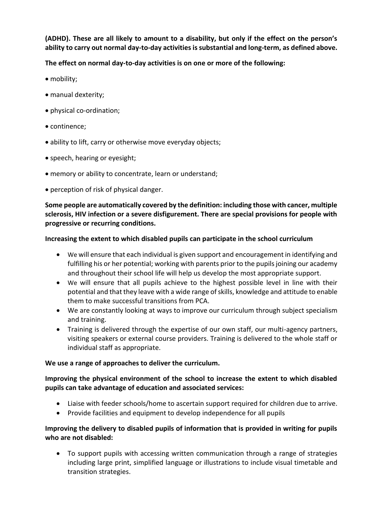**(ADHD). These are all likely to amount to a disability, but only if the effect on the person's ability to carry out normal day-to-day activities is substantial and long-term, as defined above.** 

**The effect on normal day-to-day activities is on one or more of the following:** 

- mobility;
- manual dexterity;
- physical co-ordination;
- continence;
- ability to lift, carry or otherwise move everyday objects;
- speech, hearing or eyesight;
- memory or ability to concentrate, learn or understand;
- perception of risk of physical danger.

**Some people are automatically covered by the definition: including those with cancer, multiple sclerosis, HIV infection or a severe disfigurement. There are special provisions for people with progressive or recurring conditions.** 

## **Increasing the extent to which disabled pupils can participate in the school curriculum**

- We will ensure that each individual is given support and encouragement in identifying and fulfilling his or her potential; working with parents prior to the pupils joining our academy and throughout their school life will help us develop the most appropriate support.
- We will ensure that all pupils achieve to the highest possible level in line with their potential and that they leave with a wide range of skills, knowledge and attitude to enable them to make successful transitions from PCA.
- We are constantly looking at ways to improve our curriculum through subject specialism and training.
- Training is delivered through the expertise of our own staff, our multi-agency partners, visiting speakers or external course providers. Training is delivered to the whole staff or individual staff as appropriate.

## **We use a range of approaches to deliver the curriculum.**

## **Improving the physical environment of the school to increase the extent to which disabled pupils can take advantage of education and associated services:**

- Liaise with feeder schools/home to ascertain support required for children due to arrive.
- Provide facilities and equipment to develop independence for all pupils

# **Improving the delivery to disabled pupils of information that is provided in writing for pupils who are not disabled:**

 To support pupils with accessing written communication through a range of strategies including large print, simplified language or illustrations to include visual timetable and transition strategies.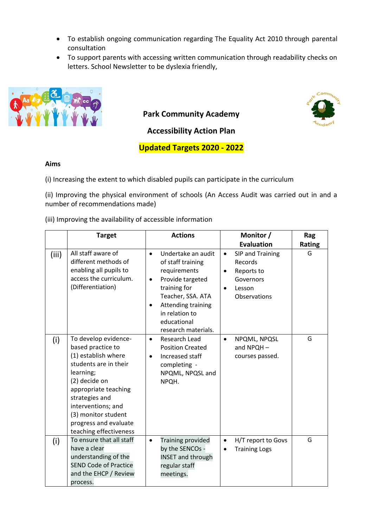- To establish ongoing communication regarding The Equality Act 2010 through parental consultation
- To support parents with accessing written communication through readability checks on letters. School Newsletter to be dyslexia friendly,



**Park Community Academy**



**Accessibility Action Plan**

**Updated Targets 2020 - 2022**

# **Aims**

(i) Increasing the extent to which disabled pupils can participate in the curriculum

(ii) Improving the physical environment of schools (An Access Audit was carried out in and a number of recommendations made)

(iii) Improving the availability of accessible information

|       | <b>Target</b>                                                                                                                                                                                                                                                     | <b>Actions</b>                                                                                                                                                                                                                        | Monitor /                                                                                                               | Rag           |
|-------|-------------------------------------------------------------------------------------------------------------------------------------------------------------------------------------------------------------------------------------------------------------------|---------------------------------------------------------------------------------------------------------------------------------------------------------------------------------------------------------------------------------------|-------------------------------------------------------------------------------------------------------------------------|---------------|
|       |                                                                                                                                                                                                                                                                   |                                                                                                                                                                                                                                       | <b>Evaluation</b>                                                                                                       | <b>Rating</b> |
| (iii) | All staff aware of<br>different methods of<br>enabling all pupils to<br>access the curriculum.<br>(Differentiation)                                                                                                                                               | Undertake an audit<br>$\bullet$<br>of staff training<br>requirements<br>Provide targeted<br>$\bullet$<br>training for<br>Teacher, SSA. ATA<br>Attending training<br>$\bullet$<br>in relation to<br>educational<br>research materials. | SIP and Training<br>$\bullet$<br>Records<br>Reports to<br>$\bullet$<br>Governors<br>Lesson<br>$\bullet$<br>Observations | G             |
| (i)   | To develop evidence-<br>based practice to<br>(1) establish where<br>students are in their<br>learning;<br>(2) decide on<br>appropriate teaching<br>strategies and<br>interventions; and<br>(3) monitor student<br>progress and evaluate<br>teaching effectiveness | Research Lead<br>$\bullet$<br><b>Position Created</b><br>Increased staff<br>$\bullet$<br>completing -<br>NPQML, NPQSL and<br>NPQH.                                                                                                    | NPQML, NPQSL<br>$\bullet$<br>and NPQH-<br>courses passed.                                                               | G             |
| (i)   | To ensure that all staff<br>have a clear<br>understanding of the<br><b>SEND Code of Practice</b><br>and the EHCP / Review<br>process.                                                                                                                             | Training provided<br>$\bullet$<br>by the SENCOs -<br><b>INSET and through</b><br>regular staff<br>meetings.                                                                                                                           | H/T report to Govs<br>$\bullet$<br><b>Training Logs</b><br>$\bullet$                                                    | G             |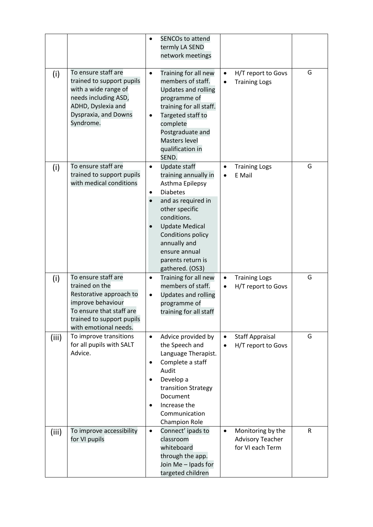|       |                                                                                                                                                                         | <b>SENCOs to attend</b><br>termly LA SEND<br>network meetings                                                                                                                                                                                                                     |                                                                               |              |
|-------|-------------------------------------------------------------------------------------------------------------------------------------------------------------------------|-----------------------------------------------------------------------------------------------------------------------------------------------------------------------------------------------------------------------------------------------------------------------------------|-------------------------------------------------------------------------------|--------------|
| (i)   | To ensure staff are<br>trained to support pupils<br>with a wide range of<br>needs including ASD,<br>ADHD, Dyslexia and<br>Dyspraxia, and Downs<br>Syndrome.             | Training for all new<br>$\bullet$<br>members of staff.<br>Updates and rolling<br>programme of<br>training for all staff.<br>Targeted staff to<br>complete<br>Postgraduate and<br>Masters level<br>qualification in<br>SEND.                                                       | H/T report to Govs<br>$\bullet$<br><b>Training Logs</b><br>$\bullet$          | G            |
| (i)   | To ensure staff are<br>trained to support pupils<br>with medical conditions                                                                                             | <b>Update staff</b><br>$\bullet$<br>training annually in<br>Asthma Epilepsy<br><b>Diabetes</b><br>٠<br>and as required in<br>other specific<br>conditions.<br><b>Update Medical</b><br>Conditions policy<br>annually and<br>ensure annual<br>parents return is<br>gathered. (OS3) | <b>Training Logs</b><br>E Mail                                                | G            |
| (i)   | To ensure staff are<br>trained on the<br>Restorative approach to<br>improve behaviour<br>To ensure that staff are<br>trained to support pupils<br>with emotional needs. | Training for all new<br>$\bullet$<br>members of staff.<br>Updates and rolling<br>$\bullet$<br>programme of<br>training for all staff                                                                                                                                              | <b>Training Logs</b><br>$\bullet$<br>H/T report to Govs<br>$\bullet$          | G            |
| (iii) | To improve transitions<br>for all pupils with SALT<br>Advice.                                                                                                           | Advice provided by<br>$\bullet$<br>the Speech and<br>Language Therapist.<br>Complete a staff<br>٠<br>Audit<br>Develop a<br>transition Strategy<br>Document<br>Increase the<br>Communication<br><b>Champion Role</b>                                                               | <b>Staff Appraisal</b><br>$\bullet$<br>H/T report to Govs<br>$\bullet$        | G            |
| (iii) | To improve accessibility<br>for VI pupils                                                                                                                               | Connect' ipads to<br>$\bullet$<br>classroom<br>whiteboard<br>through the app.<br>Join Me - Ipads for<br>targeted children                                                                                                                                                         | Monitoring by the<br>$\bullet$<br><b>Advisory Teacher</b><br>for VI each Term | $\mathsf{R}$ |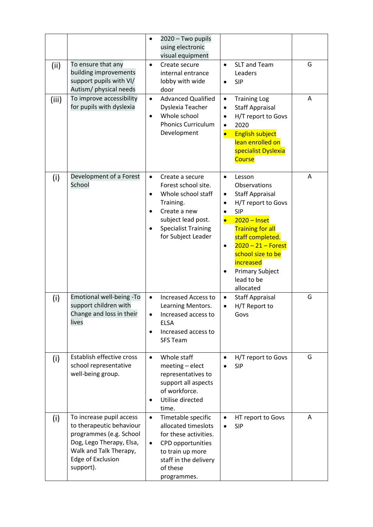|       |                                                                                                                                                                         | 2020 - Two pupils<br>$\bullet$<br>using electronic<br>visual equipment                                                                                                                                                  |                                                                                                                                                                                                                                                                                                            |   |
|-------|-------------------------------------------------------------------------------------------------------------------------------------------------------------------------|-------------------------------------------------------------------------------------------------------------------------------------------------------------------------------------------------------------------------|------------------------------------------------------------------------------------------------------------------------------------------------------------------------------------------------------------------------------------------------------------------------------------------------------------|---|
| (iii) | To ensure that any<br>building improvements<br>support pupils with VI/<br>Autism/ physical needs                                                                        | Create secure<br>$\bullet$<br>internal entrance<br>lobby with wide<br>door                                                                                                                                              | SLT and Team<br>$\bullet$<br>Leaders<br><b>SIP</b><br>$\bullet$                                                                                                                                                                                                                                            | G |
| (iii) | To improve accessibility<br>for pupils with dyslexia                                                                                                                    | <b>Advanced Qualified</b><br>$\bullet$<br>Dyslexia Teacher<br>Whole school<br>$\bullet$<br><b>Phonics Curriculum</b><br>Development                                                                                     | <b>Training Log</b><br>$\bullet$<br><b>Staff Appraisal</b><br>$\bullet$<br>H/T report to Govs<br>$\bullet$<br>2020<br>$\bullet$<br><b>English subject</b><br>$\bullet$<br>lean enrolled on<br>specialist Dyslexia<br><b>Course</b>                                                                         | A |
| (i)   | Development of a Forest<br>School                                                                                                                                       | $\bullet$<br>Create a secure<br>Forest school site.<br>Whole school staff<br>$\bullet$<br>Training.<br>Create a new<br>$\bullet$<br>subject lead post.<br><b>Specialist Training</b><br>$\bullet$<br>for Subject Leader | Lesson<br>$\bullet$<br>Observations<br><b>Staff Appraisal</b><br>٠<br>H/T report to Govs<br><b>SIP</b><br>$2020 -$ Inset<br><b>Training for all</b><br>staff completed.<br>$2020 - 21 -$ Forest<br>$\bullet$<br>school size to be<br><b>increased</b><br><b>Primary Subject</b><br>lead to be<br>allocated | A |
| (i)   | Emotional well-being -To<br>support children with<br>Change and loss in their<br>lives                                                                                  | <b>Increased Access to</b><br>$\bullet$<br>Learning Mentors.<br>Increased access to<br><b>ELSA</b><br>Increased access to<br>$\bullet$<br><b>SFS Team</b>                                                               | <b>Staff Appraisal</b><br>$\bullet$<br>H/T Report to<br>$\bullet$<br>Govs                                                                                                                                                                                                                                  | G |
| (i)   | Establish effective cross<br>school representative<br>well-being group.                                                                                                 | Whole staff<br>$\bullet$<br>meeting - elect<br>representatives to<br>support all aspects<br>of workforce.<br>Utilise directed<br>$\bullet$<br>time.                                                                     | H/T report to Govs<br><b>SIP</b>                                                                                                                                                                                                                                                                           | G |
| (i)   | To increase pupil access<br>to therapeutic behaviour<br>programmes (e.g. School<br>Dog, Lego Therapy, Elsa,<br>Walk and Talk Therapy,<br>Edge of Exclusion<br>support). | Timetable specific<br>$\bullet$<br>allocated timeslots<br>for these activities.<br>CPD opportunities<br>$\bullet$<br>to train up more<br>staff in the delivery<br>of these<br>programmes.                               | HT report to Govs<br><b>SIP</b>                                                                                                                                                                                                                                                                            | A |